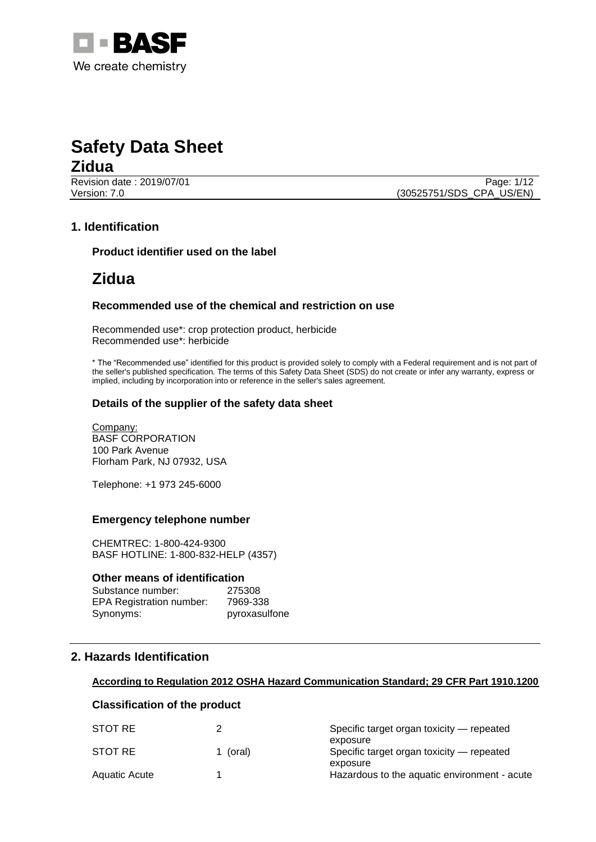

# **Safety Data Sheet Zidua**

Revision date : 2019/07/01 Page: 1/12 Version: 7.0 (30525751/SDS\_CPA\_US/EN)

# **1. Identification**

**Product identifier used on the label**

# **Zidua**

### **Recommended use of the chemical and restriction on use**

Recommended use\*: crop protection product, herbicide Recommended use\*: herbicide

\* The "Recommended use" identified for this product is provided solely to comply with a Federal requirement and is not part of the seller's published specification. The terms of this Safety Data Sheet (SDS) do not create or infer any warranty, express or implied, including by incorporation into or reference in the seller's sales agreement.

### **Details of the supplier of the safety data sheet**

Company: BASF CORPORATION 100 Park Avenue Florham Park, NJ 07932, USA

Telephone: +1 973 245-6000

#### **Emergency telephone number**

CHEMTREC: 1-800-424-9300 BASF HOTLINE: 1-800-832-HELP (4357)

#### **Other means of identification**

| Substance number:               | 275308        |
|---------------------------------|---------------|
| <b>EPA Registration number:</b> | 7969-338      |
| Synonyms:                       | pyroxasulfone |

# **2. Hazards Identification**

#### **According to Regulation 2012 OSHA Hazard Communication Standard; 29 CFR Part 1910.1200**

# **Classification of the product**

| Specific target organ toxicity — repeated    |
|----------------------------------------------|
| exposure                                     |
| Specific target organ toxicity — repeated    |
| exposure                                     |
| Hazardous to the aquatic environment - acute |
| 1 (oral)                                     |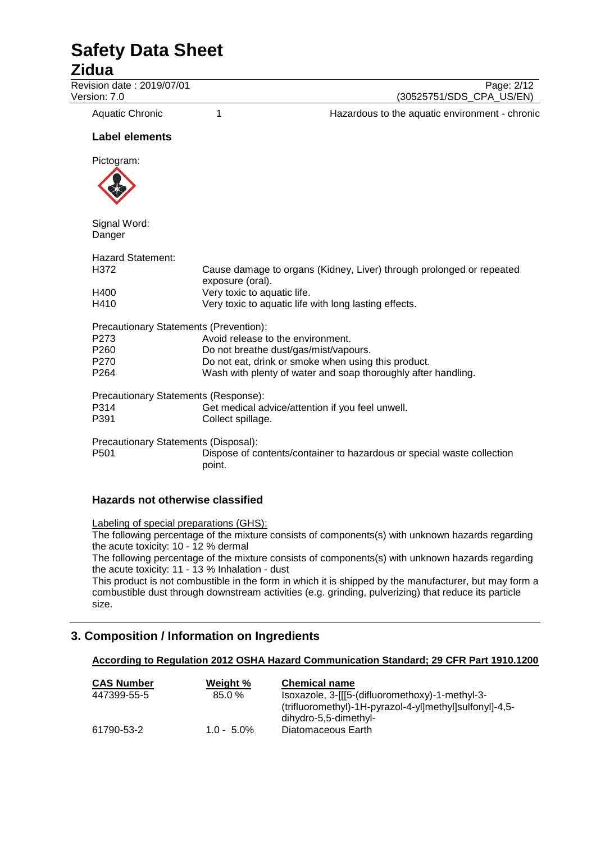# **Zidua**

Revision date : 2019/07/01 Page: 2/12<br>Version: 7.0 (30525751/SDS CPA US/EN)

(30525751/SDS\_CPA\_US/EN)

Aquatic Chronic 1 1 1 Hazardous to the aquatic environment - chronic

### **Label elements**

Pictogram:



Signal Word: Danger

| Hazard Statement:                            |                                                                                          |
|----------------------------------------------|------------------------------------------------------------------------------------------|
| H372                                         | Cause damage to organs (Kidney, Liver) through prolonged or repeated<br>exposure (oral). |
| H400                                         | Very toxic to aquatic life.                                                              |
| H410                                         | Very toxic to aquatic life with long lasting effects.                                    |
| Precautionary Statements (Prevention):       |                                                                                          |
| P273                                         | Avoid release to the environment.                                                        |
| P260                                         | Do not breathe dust/gas/mist/vapours.                                                    |
| P270                                         | Do not eat, drink or smoke when using this product.                                      |
| P264                                         | Wash with plenty of water and soap thoroughly after handling.                            |
| Precautionary Statements (Response):         |                                                                                          |
| P314                                         | Get medical advice/attention if you feel unwell.                                         |
| P391                                         | Collect spillage.                                                                        |
| Precautionary Statements (Disposal):<br>P501 | Dispose of contents/container to hazardous or special waste collection                   |
|                                              | point.                                                                                   |
|                                              |                                                                                          |

### **Hazards not otherwise classified**

Labeling of special preparations (GHS):

The following percentage of the mixture consists of components(s) with unknown hazards regarding the acute toxicity: 10 - 12 % dermal

The following percentage of the mixture consists of components(s) with unknown hazards regarding the acute toxicity: 11 - 13 % Inhalation - dust

This product is not combustible in the form in which it is shipped by the manufacturer, but may form a combustible dust through downstream activities (e.g. grinding, pulverizing) that reduce its particle size.

# **3. Composition / Information on Ingredients**

### **According to Regulation 2012 OSHA Hazard Communication Standard; 29 CFR Part 1910.1200**

| Weight %      | <b>Chemical name</b>                                    |
|---------------|---------------------------------------------------------|
| 85.0%         | Isoxazole, 3-[[[5-(difluoromethoxy)-1-methyl-3-         |
|               | (trifluoromethyl)-1H-pyrazol-4-yl]methyl]sulfonyl]-4,5- |
|               | dihydro-5,5-dimethyl-                                   |
| $1.0 - 5.0\%$ | Diatomaceous Earth                                      |
|               |                                                         |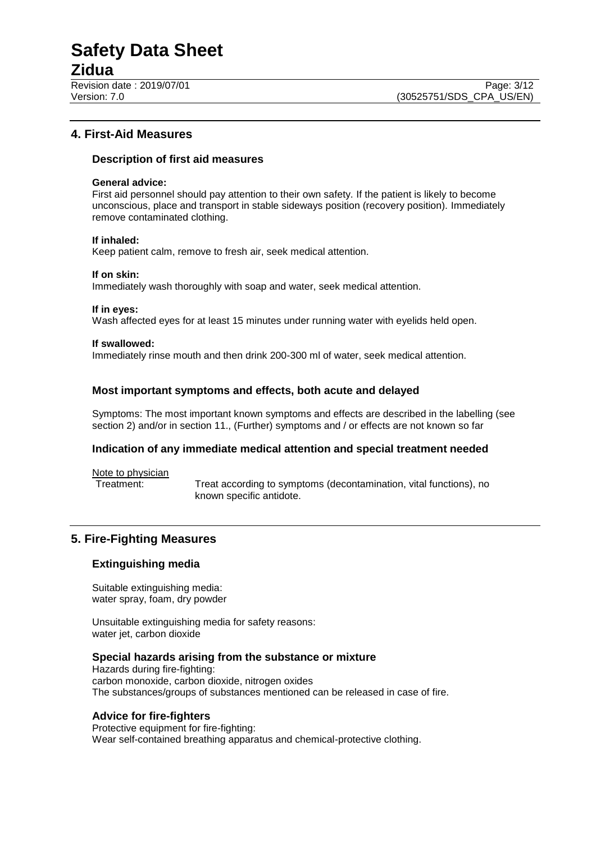# **Zidua**

# **4. First-Aid Measures**

# **Description of first aid measures**

#### **General advice:**

First aid personnel should pay attention to their own safety. If the patient is likely to become unconscious, place and transport in stable sideways position (recovery position). Immediately remove contaminated clothing.

#### **If inhaled:**

Keep patient calm, remove to fresh air, seek medical attention.

#### **If on skin:**

Immediately wash thoroughly with soap and water, seek medical attention.

#### **If in eyes:**

Wash affected eyes for at least 15 minutes under running water with eyelids held open.

#### **If swallowed:**

Immediately rinse mouth and then drink 200-300 ml of water, seek medical attention.

# **Most important symptoms and effects, both acute and delayed**

Symptoms: The most important known symptoms and effects are described in the labelling (see section 2) and/or in section 11., (Further) symptoms and / or effects are not known so far

### **Indication of any immediate medical attention and special treatment needed**

Note to physician<br>Treatment:

Treat according to symptoms (decontamination, vital functions), no known specific antidote.

# **5. Fire-Fighting Measures**

# **Extinguishing media**

Suitable extinguishing media: water spray, foam, dry powder

Unsuitable extinguishing media for safety reasons: water jet, carbon dioxide

### **Special hazards arising from the substance or mixture**

Hazards during fire-fighting: carbon monoxide, carbon dioxide, nitrogen oxides The substances/groups of substances mentioned can be released in case of fire.

### **Advice for fire-fighters**

Protective equipment for fire-fighting: Wear self-contained breathing apparatus and chemical-protective clothing.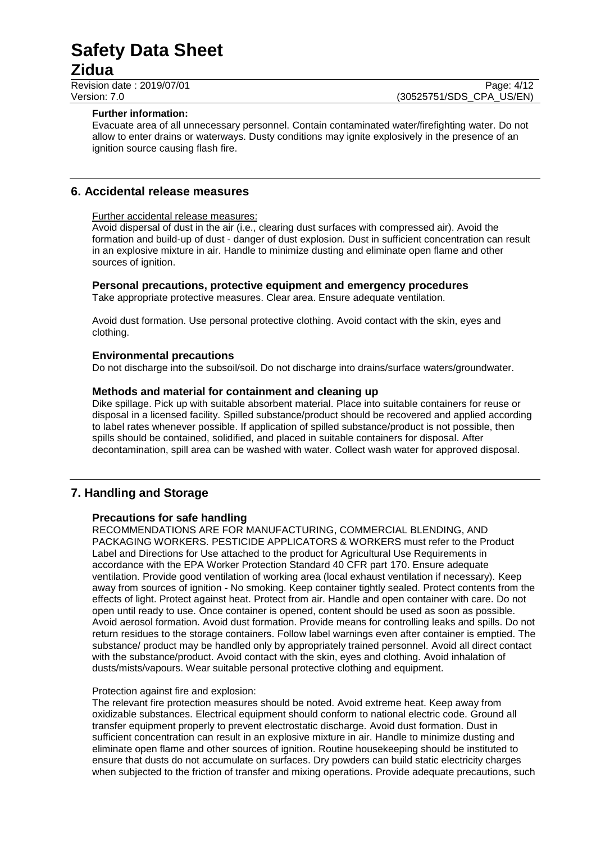# **Safety Data Sheet Zidua**

Revision date : 2019/07/01<br>
Version: 7.0 Page: 4/12<br>
Version: 7.0 (30525751/SDS CPA US/EN) (30525751/SDS\_CPA\_US/EN)

#### **Further information:**

Evacuate area of all unnecessary personnel. Contain contaminated water/firefighting water. Do not allow to enter drains or waterways. Dusty conditions may ignite explosively in the presence of an ignition source causing flash fire.

# **6. Accidental release measures**

#### Further accidental release measures:

Avoid dispersal of dust in the air (i.e., clearing dust surfaces with compressed air). Avoid the formation and build-up of dust - danger of dust explosion. Dust in sufficient concentration can result in an explosive mixture in air. Handle to minimize dusting and eliminate open flame and other sources of ignition.

#### **Personal precautions, protective equipment and emergency procedures**

Take appropriate protective measures. Clear area. Ensure adequate ventilation.

Avoid dust formation. Use personal protective clothing. Avoid contact with the skin, eyes and clothing.

#### **Environmental precautions**

Do not discharge into the subsoil/soil. Do not discharge into drains/surface waters/groundwater.

#### **Methods and material for containment and cleaning up**

Dike spillage. Pick up with suitable absorbent material. Place into suitable containers for reuse or disposal in a licensed facility. Spilled substance/product should be recovered and applied according to label rates whenever possible. If application of spilled substance/product is not possible, then spills should be contained, solidified, and placed in suitable containers for disposal. After decontamination, spill area can be washed with water. Collect wash water for approved disposal.

# **7. Handling and Storage**

### **Precautions for safe handling**

RECOMMENDATIONS ARE FOR MANUFACTURING, COMMERCIAL BLENDING, AND PACKAGING WORKERS. PESTICIDE APPLICATORS & WORKERS must refer to the Product Label and Directions for Use attached to the product for Agricultural Use Requirements in accordance with the EPA Worker Protection Standard 40 CFR part 170. Ensure adequate ventilation. Provide good ventilation of working area (local exhaust ventilation if necessary). Keep away from sources of ignition - No smoking. Keep container tightly sealed. Protect contents from the effects of light. Protect against heat. Protect from air. Handle and open container with care. Do not open until ready to use. Once container is opened, content should be used as soon as possible. Avoid aerosol formation. Avoid dust formation. Provide means for controlling leaks and spills. Do not return residues to the storage containers. Follow label warnings even after container is emptied. The substance/ product may be handled only by appropriately trained personnel. Avoid all direct contact with the substance/product. Avoid contact with the skin, eyes and clothing. Avoid inhalation of dusts/mists/vapours. Wear suitable personal protective clothing and equipment.

#### Protection against fire and explosion:

The relevant fire protection measures should be noted. Avoid extreme heat. Keep away from oxidizable substances. Electrical equipment should conform to national electric code. Ground all transfer equipment properly to prevent electrostatic discharge. Avoid dust formation. Dust in sufficient concentration can result in an explosive mixture in air. Handle to minimize dusting and eliminate open flame and other sources of ignition. Routine housekeeping should be instituted to ensure that dusts do not accumulate on surfaces. Dry powders can build static electricity charges when subjected to the friction of transfer and mixing operations. Provide adequate precautions, such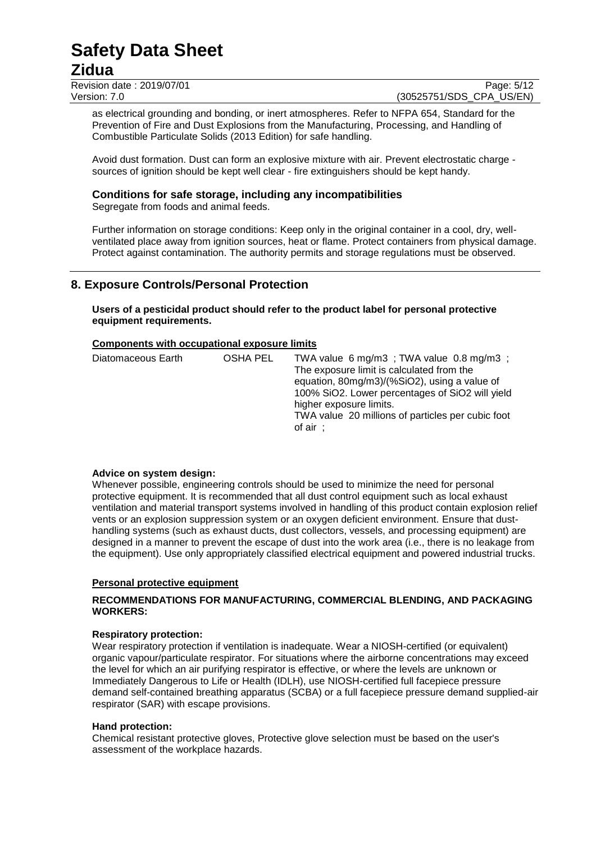# **Zidua**

Revision date : 2019/07/01<br>
Version: 7.0<br>
Version: 7.0 (30525751/SDS CPA US/EN)

(30525751/SDS CPA US/EN)

as electrical grounding and bonding, or inert atmospheres. Refer to NFPA 654, Standard for the Prevention of Fire and Dust Explosions from the Manufacturing, Processing, and Handling of Combustible Particulate Solids (2013 Edition) for safe handling.

Avoid dust formation. Dust can form an explosive mixture with air. Prevent electrostatic charge sources of ignition should be kept well clear - fire extinguishers should be kept handy.

# **Conditions for safe storage, including any incompatibilities**

Segregate from foods and animal feeds.

Further information on storage conditions: Keep only in the original container in a cool, dry, wellventilated place away from ignition sources, heat or flame. Protect containers from physical damage. Protect against contamination. The authority permits and storage regulations must be observed.

# **8. Exposure Controls/Personal Protection**

**Users of a pesticidal product should refer to the product label for personal protective equipment requirements.**

### **Components with occupational exposure limits**

| Diatomaceous Earth | OSHA PEL<br>of air $\cdot$ | TWA value 6 mg/m3; TWA value 0.8 mg/m3;<br>The exposure limit is calculated from the<br>equation, 80mg/m3)/(%SiO2), using a value of<br>100% SiO2. Lower percentages of SiO2 will yield<br>higher exposure limits.<br>TWA value 20 millions of particles per cubic foot |
|--------------------|----------------------------|-------------------------------------------------------------------------------------------------------------------------------------------------------------------------------------------------------------------------------------------------------------------------|
|--------------------|----------------------------|-------------------------------------------------------------------------------------------------------------------------------------------------------------------------------------------------------------------------------------------------------------------------|

### **Advice on system design:**

Whenever possible, engineering controls should be used to minimize the need for personal protective equipment. It is recommended that all dust control equipment such as local exhaust ventilation and material transport systems involved in handling of this product contain explosion relief vents or an explosion suppression system or an oxygen deficient environment. Ensure that dusthandling systems (such as exhaust ducts, dust collectors, vessels, and processing equipment) are designed in a manner to prevent the escape of dust into the work area (i.e., there is no leakage from the equipment). Use only appropriately classified electrical equipment and powered industrial trucks.

### **Personal protective equipment**

### **RECOMMENDATIONS FOR MANUFACTURING, COMMERCIAL BLENDING, AND PACKAGING WORKERS:**

### **Respiratory protection:**

Wear respiratory protection if ventilation is inadequate. Wear a NIOSH-certified (or equivalent) organic vapour/particulate respirator. For situations where the airborne concentrations may exceed the level for which an air purifying respirator is effective, or where the levels are unknown or Immediately Dangerous to Life or Health (IDLH), use NIOSH-certified full facepiece pressure demand self-contained breathing apparatus (SCBA) or a full facepiece pressure demand supplied-air respirator (SAR) with escape provisions.

### **Hand protection:**

Chemical resistant protective gloves, Protective glove selection must be based on the user's assessment of the workplace hazards.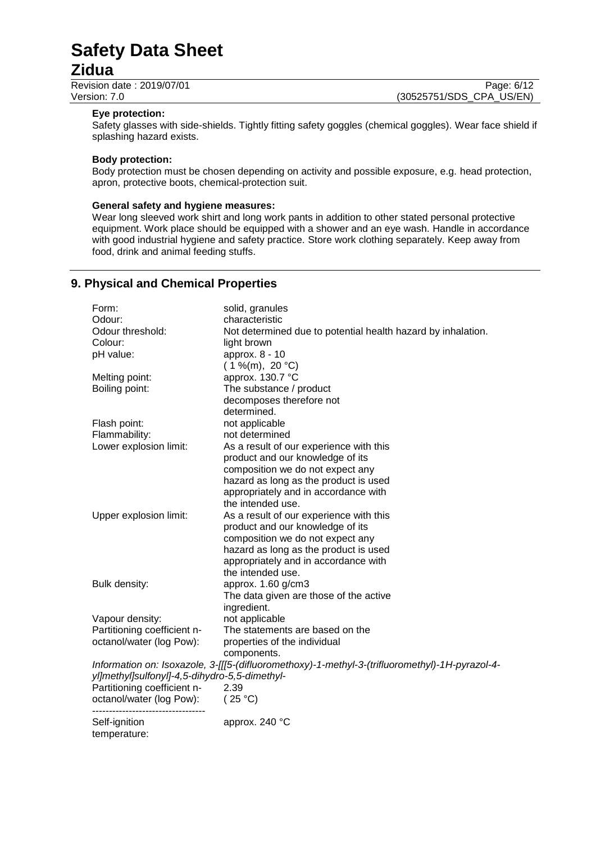# **Zidua**

Revision date : 2019/07/01 Page: 6/12<br>Version: 7.0 (30525751/SDS CPA US/EN) (30525751/SDS\_CPA\_US/EN)

#### **Eye protection:**

Safety glasses with side-shields. Tightly fitting safety goggles (chemical goggles). Wear face shield if splashing hazard exists.

#### **Body protection:**

Body protection must be chosen depending on activity and possible exposure, e.g. head protection, apron, protective boots, chemical-protection suit.

# **General safety and hygiene measures:**

Wear long sleeved work shirt and long work pants in addition to other stated personal protective equipment. Work place should be equipped with a shower and an eye wash. Handle in accordance with good industrial hygiene and safety practice. Store work clothing separately. Keep away from food, drink and animal feeding stuffs.

# **9. Physical and Chemical Properties**

| Form:                                         | solid, granules                                                                                |
|-----------------------------------------------|------------------------------------------------------------------------------------------------|
| Odour:                                        | characteristic                                                                                 |
| Odour threshold:                              | Not determined due to potential health hazard by inhalation.                                   |
| Colour:                                       | light brown                                                                                    |
| pH value:                                     | approx. 8 - 10                                                                                 |
|                                               | $(1\%$ (m), 20 °C)                                                                             |
| Melting point:                                | approx. 130.7 °C                                                                               |
| Boiling point:                                | The substance / product                                                                        |
|                                               | decomposes therefore not                                                                       |
|                                               | determined.                                                                                    |
| Flash point:                                  | not applicable                                                                                 |
| Flammability:                                 | not determined                                                                                 |
| Lower explosion limit:                        | As a result of our experience with this                                                        |
|                                               | product and our knowledge of its                                                               |
|                                               | composition we do not expect any                                                               |
|                                               | hazard as long as the product is used                                                          |
|                                               | appropriately and in accordance with                                                           |
|                                               | the intended use.                                                                              |
| Upper explosion limit:                        | As a result of our experience with this                                                        |
|                                               | product and our knowledge of its                                                               |
|                                               | composition we do not expect any                                                               |
|                                               | hazard as long as the product is used                                                          |
|                                               | appropriately and in accordance with                                                           |
|                                               | the intended use.                                                                              |
| Bulk density:                                 | approx. 1.60 g/cm3                                                                             |
|                                               | The data given are those of the active                                                         |
|                                               | ingredient.                                                                                    |
|                                               |                                                                                                |
| Vapour density:                               | not applicable                                                                                 |
| Partitioning coefficient n-                   | The statements are based on the                                                                |
| octanol/water (log Pow):                      | properties of the individual                                                                   |
|                                               | components.                                                                                    |
|                                               | Information on: Isoxazole, 3-[[[5-(difluoromethoxy)-1-methyl-3-(trifluoromethyl)-1H-pyrazol-4- |
| yl]methyl]sulfonyl]-4,5-dihydro-5,5-dimethyl- |                                                                                                |
| Partitioning coefficient n-                   | 2.39                                                                                           |
| octanol/water (log Pow):                      | (25 °C)                                                                                        |
| Self-ignition                                 | approx. 240 °C                                                                                 |
| temperature:                                  |                                                                                                |
|                                               |                                                                                                |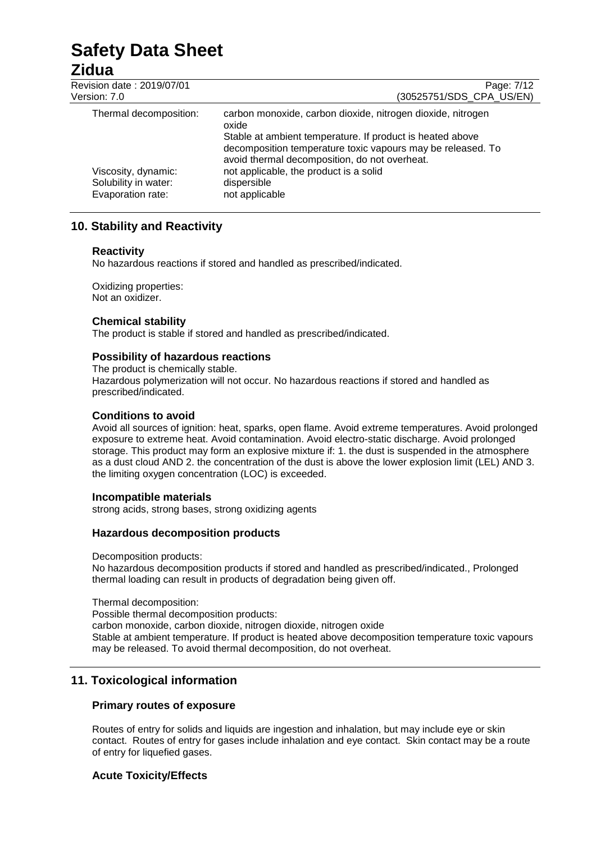# **Zidua**<br>**Revision**

| Revision date: 2019/07/01 | Page: 7/12                                                                                                                                                                                                                                        |
|---------------------------|---------------------------------------------------------------------------------------------------------------------------------------------------------------------------------------------------------------------------------------------------|
| Version: 7.0              | (30525751/SDS_CPA_US/EN)                                                                                                                                                                                                                          |
| Thermal decomposition:    | carbon monoxide, carbon dioxide, nitrogen dioxide, nitrogen<br>oxide<br>Stable at ambient temperature. If product is heated above<br>decomposition temperature toxic vapours may be released. To<br>avoid thermal decomposition, do not overheat. |
| Viscosity, dynamic:       | not applicable, the product is a solid                                                                                                                                                                                                            |
| Solubility in water:      | dispersible                                                                                                                                                                                                                                       |
| Evaporation rate:         | not applicable                                                                                                                                                                                                                                    |

# **10. Stability and Reactivity**

# **Reactivity**

No hazardous reactions if stored and handled as prescribed/indicated.

Oxidizing properties: Not an oxidizer.

# **Chemical stability**

The product is stable if stored and handled as prescribed/indicated.

# **Possibility of hazardous reactions**

The product is chemically stable. Hazardous polymerization will not occur. No hazardous reactions if stored and handled as prescribed/indicated.

# **Conditions to avoid**

Avoid all sources of ignition: heat, sparks, open flame. Avoid extreme temperatures. Avoid prolonged exposure to extreme heat. Avoid contamination. Avoid electro-static discharge. Avoid prolonged storage. This product may form an explosive mixture if: 1. the dust is suspended in the atmosphere as a dust cloud AND 2. the concentration of the dust is above the lower explosion limit (LEL) AND 3. the limiting oxygen concentration (LOC) is exceeded.

# **Incompatible materials**

strong acids, strong bases, strong oxidizing agents

# **Hazardous decomposition products**

Decomposition products: No hazardous decomposition products if stored and handled as prescribed/indicated., Prolonged thermal loading can result in products of degradation being given off.

Thermal decomposition:

Possible thermal decomposition products:

carbon monoxide, carbon dioxide, nitrogen dioxide, nitrogen oxide

Stable at ambient temperature. If product is heated above decomposition temperature toxic vapours may be released. To avoid thermal decomposition, do not overheat.

# **11. Toxicological information**

# **Primary routes of exposure**

Routes of entry for solids and liquids are ingestion and inhalation, but may include eye or skin contact. Routes of entry for gases include inhalation and eye contact. Skin contact may be a route of entry for liquefied gases.

# **Acute Toxicity/Effects**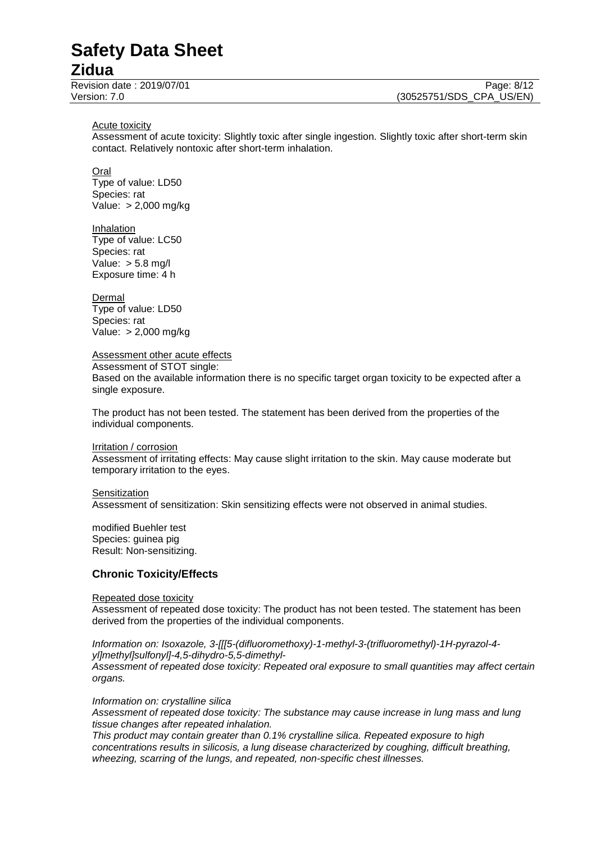# **Zidua**

Acute toxicity

Assessment of acute toxicity: Slightly toxic after single ingestion. Slightly toxic after short-term skin contact. Relatively nontoxic after short-term inhalation.

Oral

Type of value: LD50 Species: rat Value: > 2,000 mg/kg

Inhalation Type of value: LC50 Species: rat Value:  $> 5.8$  mg/l Exposure time: 4 h

**Dermal** Type of value: LD50 Species: rat Value: > 2,000 mg/kg

Assessment other acute effects

Assessment of STOT single:

Based on the available information there is no specific target organ toxicity to be expected after a single exposure.

The product has not been tested. The statement has been derived from the properties of the individual components.

Irritation / corrosion

Assessment of irritating effects: May cause slight irritation to the skin. May cause moderate but temporary irritation to the eyes.

**Sensitization** 

Assessment of sensitization: Skin sensitizing effects were not observed in animal studies.

modified Buehler test Species: guinea pig Result: Non-sensitizing.

# **Chronic Toxicity/Effects**

#### Repeated dose toxicity

Assessment of repeated dose toxicity: The product has not been tested. The statement has been derived from the properties of the individual components.

*Information on: Isoxazole, 3-[[[5-(difluoromethoxy)-1-methyl-3-(trifluoromethyl)-1H-pyrazol-4 yl]methyl]sulfonyl]-4,5-dihydro-5,5-dimethyl-*

*Assessment of repeated dose toxicity: Repeated oral exposure to small quantities may affect certain organs.*

*Information on: crystalline silica*

*Assessment of repeated dose toxicity: The substance may cause increase in lung mass and lung tissue changes after repeated inhalation.*

*This product may contain greater than 0.1% crystalline silica. Repeated exposure to high concentrations results in silicosis, a lung disease characterized by coughing, difficult breathing, wheezing, scarring of the lungs, and repeated, non-specific chest illnesses.*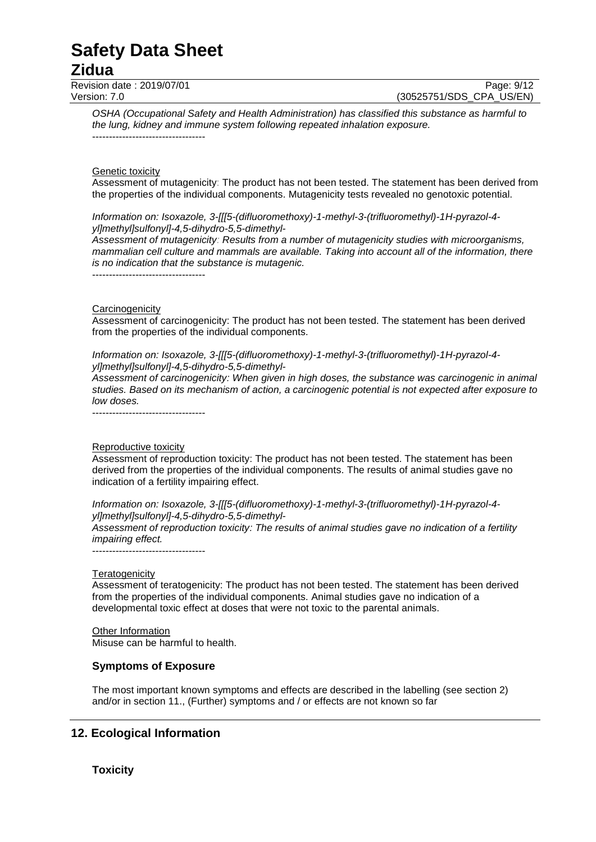# **Zidua**

Revision date : 2019/07/01 Page: 9/12

Version: 7.0 (30525751/SDS\_CPA\_US/EN)

*OSHA (Occupational Safety and Health Administration) has classified this substance as harmful to the lung, kidney and immune system following repeated inhalation exposure.* ----------------------------------

#### Genetic toxicity

Assessment of mutagenicity: The product has not been tested. The statement has been derived from the properties of the individual components. Mutagenicity tests revealed no genotoxic potential.

*Information on: Isoxazole, 3-[[[5-(difluoromethoxy)-1-methyl-3-(trifluoromethyl)-1H-pyrazol-4 yl]methyl]sulfonyl]-4,5-dihydro-5,5-dimethyl-*

*Assessment of mutagenicity: Results from a number of mutagenicity studies with microorganisms, mammalian cell culture and mammals are available. Taking into account all of the information, there is no indication that the substance is mutagenic.*

----------------------------------

#### **Carcinogenicity**

Assessment of carcinogenicity: The product has not been tested. The statement has been derived from the properties of the individual components.

*Information on: Isoxazole, 3-[[[5-(difluoromethoxy)-1-methyl-3-(trifluoromethyl)-1H-pyrazol-4 yl]methyl]sulfonyl]-4,5-dihydro-5,5-dimethyl-*

*Assessment of carcinogenicity: When given in high doses, the substance was carcinogenic in animal studies. Based on its mechanism of action, a carcinogenic potential is not expected after exposure to low doses.*

----------------------------------

#### Reproductive toxicity

Assessment of reproduction toxicity: The product has not been tested. The statement has been derived from the properties of the individual components. The results of animal studies gave no indication of a fertility impairing effect.

*Information on: Isoxazole, 3-[[[5-(difluoromethoxy)-1-methyl-3-(trifluoromethyl)-1H-pyrazol-4 yl]methyl]sulfonyl]-4,5-dihydro-5,5-dimethyl-*

*Assessment of reproduction toxicity: The results of animal studies gave no indication of a fertility impairing effect.*

#### **Teratogenicity**

Assessment of teratogenicity: The product has not been tested. The statement has been derived from the properties of the individual components. Animal studies gave no indication of a developmental toxic effect at doses that were not toxic to the parental animals.

Other Information Misuse can be harmful to health.

### **Symptoms of Exposure**

----------------------------------

The most important known symptoms and effects are described in the labelling (see section 2) and/or in section 11., (Further) symptoms and / or effects are not known so far

### **12. Ecological Information**

**Toxicity**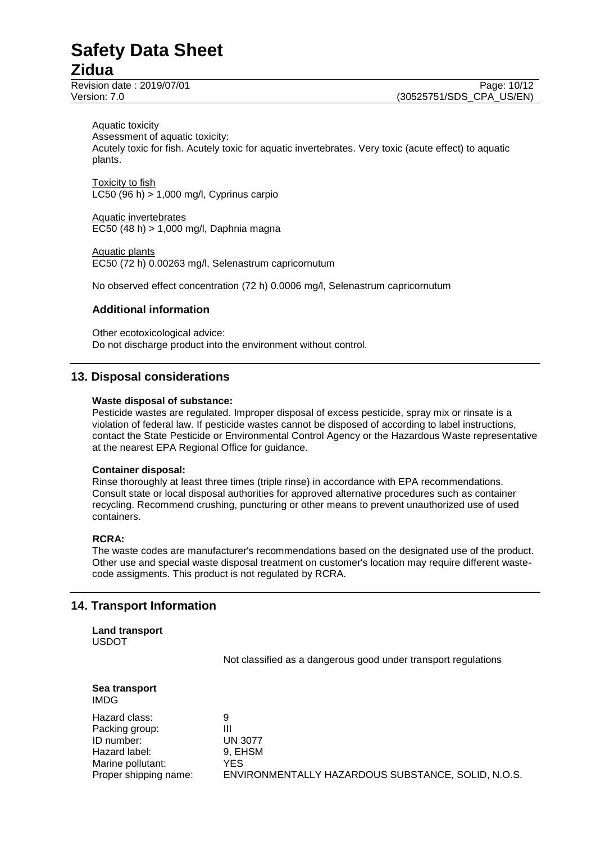# **Zidua**

Aquatic toxicity Assessment of aquatic toxicity: Acutely toxic for fish. Acutely toxic for aquatic invertebrates. Very toxic (acute effect) to aquatic plants.

Toxicity to fish LC50 (96 h) > 1,000 mg/l, Cyprinus carpio

Aquatic invertebrates EC50 (48 h) > 1,000 mg/l, Daphnia magna

Aquatic plants EC50 (72 h) 0.00263 mg/l, Selenastrum capricornutum

No observed effect concentration (72 h) 0.0006 mg/l, Selenastrum capricornutum

# **Additional information**

Other ecotoxicological advice: Do not discharge product into the environment without control.

# **13. Disposal considerations**

#### **Waste disposal of substance:**

Pesticide wastes are regulated. Improper disposal of excess pesticide, spray mix or rinsate is a violation of federal law. If pesticide wastes cannot be disposed of according to label instructions, contact the State Pesticide or Environmental Control Agency or the Hazardous Waste representative at the nearest EPA Regional Office for guidance.

### **Container disposal:**

Rinse thoroughly at least three times (triple rinse) in accordance with EPA recommendations. Consult state or local disposal authorities for approved alternative procedures such as container recycling. Recommend crushing, puncturing or other means to prevent unauthorized use of used containers.

### **RCRA:**

The waste codes are manufacturer's recommendations based on the designated use of the product. Other use and special waste disposal treatment on customer's location may require different wastecode assigments. This product is not regulated by RCRA.

# **14. Transport Information**

# **Land transport** USDOT

Not classified as a dangerous good under transport regulations

|      | Sea transport |
|------|---------------|
| IMDG |               |

| Hazard class:         | 9                                                  |
|-----------------------|----------------------------------------------------|
| Packing group:        | Ш                                                  |
| ID number:            | <b>UN 3077</b>                                     |
| Hazard label:         | 9. EHSM                                            |
| Marine pollutant:     | YES                                                |
| Proper shipping name: | ENVIRONMENTALLY HAZARDOUS SUBSTANCE, SOLID, N.O.S. |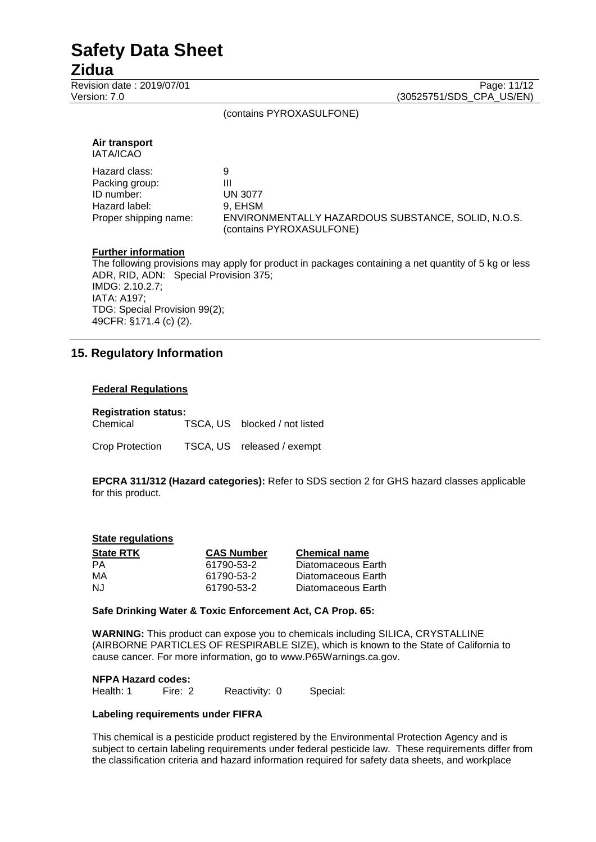# **Zidua**

Revision date : 2019/07/01 Page: 11/12<br>Version: 7.0 (30525751/SDS CPA US/EN) (30525751/SDS\_CPA\_US/EN)

(contains PYROXASULFONE)

| Air transport<br><b>IATA/ICAO</b> |                                                                                |
|-----------------------------------|--------------------------------------------------------------------------------|
| Hazard class:                     | 9                                                                              |
| Packing group:                    | Ш                                                                              |
| ID number:                        | <b>UN 3077</b>                                                                 |
| Hazard label:                     | 9, EHSM                                                                        |
| Proper shipping name:             | ENVIRONMENTALLY HAZARDOUS SUBSTANCE, SOLID, N.O.S.<br>(contains PYROXASULFONE) |

# **Further information**

The following provisions may apply for product in packages containing a net quantity of 5 kg or less ADR, RID, ADN: Special Provision 375; IMDG: 2.10.2.7; IATA: A197; TDG: Special Provision 99(2); 49CFR: §171.4 (c) (2).

# **15. Regulatory Information**

#### **Federal Regulations**

| <b>Registration status:</b> |  |                               |  |
|-----------------------------|--|-------------------------------|--|
| Chemical                    |  | TSCA, US blocked / not listed |  |
| Crop Protection             |  | TSCA, US released / exempt    |  |

**EPCRA 311/312 (Hazard categories):** Refer to SDS section 2 for GHS hazard classes applicable for this product.

#### **State regulations**

| <b>State RTK</b> | <b>CAS Number</b> | <b>Chemical name</b> |
|------------------|-------------------|----------------------|
| PA               | 61790-53-2        | Diatomaceous Earth   |
| MA               | 61790-53-2        | Diatomaceous Earth   |
| NJ.              | 61790-53-2        | Diatomaceous Earth   |

#### **Safe Drinking Water & Toxic Enforcement Act, CA Prop. 65:**

**WARNING:** This product can expose you to chemicals including SILICA, CRYSTALLINE (AIRBORNE PARTICLES OF RESPIRABLE SIZE), which is known to the State of California to cause cancer. For more information, go to www.P65Warnings.ca.gov.

#### **NFPA Hazard codes:**

Health: 1 Fire: 2 Reactivity: 0 Special:

#### **Labeling requirements under FIFRA**

This chemical is a pesticide product registered by the Environmental Protection Agency and is subject to certain labeling requirements under federal pesticide law. These requirements differ from the classification criteria and hazard information required for safety data sheets, and workplace